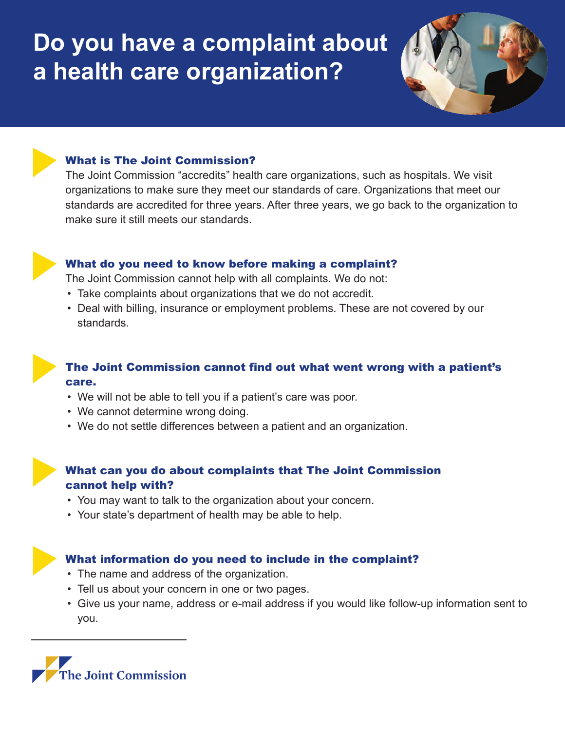# **Do you have a complaint about a health care organization?**



## What is The Joint Commission?

The Joint Commission "accredits" health care organizations, such as hospitals. We visit organizations to make sure they meet our standards of care. Organizations that meet our standards are accredited for three years. After three years, we go back to the organization to make sure it still meets our standards.



#### What do you need to know before making a complaint?

The Joint Commission cannot help with all complaints. We do not:

- Take complaints about organizations that we do not accredit.
- Deal with billing, insurance or employment problems. These are not covered by our standards.



### The Joint Commission cannot find out what went wrong with a patient's care.

- We will not be able to tell you if a patient's care was poor.
- We cannot determine wrong doing.
- We do not settle differences between a patient and an organization.

## What can you do about complaints that The Joint Commission cannot help with?

- You may want to talk to the organization about your concern.
- Your state's department of health may be able to help.

### What information do you need to include in the complaint?

- The name and address of the organization.
- Tell us about your concern in one or two pages.
- Give us your name, address or e-mail address if you would like follow-up information sent to you.